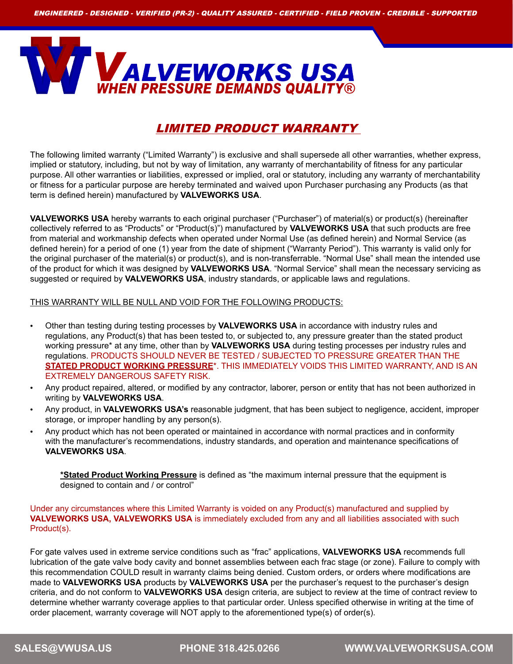

## LIMITED PRODUCT WARRANTY

The following limited warranty ("Limited Warranty") is exclusive and shall supersede all other warranties, whether express, implied or statutory, including, but not by way of limitation, any warranty of merchantability of fitness for any particular purpose. All other warranties or liabilities, expressed or implied, oral or statutory, including any warranty of merchantability or fitness for a particular purpose are hereby terminated and waived upon Purchaser purchasing any Products (as that term is defined herein) manufactured by **VALVEWORKS USA**.

**VALVEWORKS USA** hereby warrants to each original purchaser ("Purchaser") of material(s) or product(s) (hereinafter collectively referred to as "Products" or "Product(s)") manufactured by **VALVEWORKS USA** that such products are free from material and workmanship defects when operated under Normal Use (as defined herein) and Normal Service (as defined herein) for a period of one (1) year from the date of shipment ("Warranty Period"). This warranty is valid only for the original purchaser of the material(s) or product(s), and is non-transferrable. "Normal Use" shall mean the intended use of the product for which it was designed by **VALVEWORKS USA**. "Normal Service" shall mean the necessary servicing as suggested or required by **VALVEWORKS USA**, industry standards, or applicable laws and regulations.

## THIS WARRANTY WILL BE NULL AND VOID FOR THE FOLLOWING PRODUCTS:

- Other than testing during testing processes by **VALVEWORKS USA** in accordance with industry rules and regulations, any Product(s) that has been tested to, or subjected to, any pressure greater than the stated product working pressure\* at any time, other than by **VALVEWORKS USA** during testing processes per industry rules and regulations. PRODUCTS SHOULD NEVER BE TESTED / SUBJECTED TO PRESSURE GREATER THAN THE **STATED PRODUCT WORKING PRESSURE**\*. THIS IMMEDIATELY VOIDS THIS LIMITED WARRANTY, AND IS AN EXTREMELY DANGEROUS SAFETY RISK.
- Any product repaired, altered, or modified by any contractor, laborer, person or entity that has not been authorized in writing by **VALVEWORKS USA**.
- Any product, in **VALVEWORKS USA's** reasonable judgment, that has been subject to negligence, accident, improper storage, or improper handling by any person(s).
- Any product which has not been operated or maintained in accordance with normal practices and in conformity with the manufacturer's recommendations, industry standards, and operation and maintenance specifications of **VALVEWORKS USA**.

**\*Stated Product Working Pressure** is defined as "the maximum internal pressure that the equipment is designed to contain and / or control"

Under any circumstances where this Limited Warranty is voided on any Product(s) manufactured and supplied by **VALVEWORKS USA, VALVEWORKS USA** is immediately excluded from any and all liabilities associated with such Product(s).

For gate valves used in extreme service conditions such as "frac" applications, **VALVEWORKS USA** recommends full lubrication of the gate valve body cavity and bonnet assemblies between each frac stage (or zone). Failure to comply with this recommendation COULD result in warranty claims being denied. Custom orders, or orders where modifications are made to **VALVEWORKS USA** products by **VALVEWORKS USA** per the purchaser's request to the purchaser's design criteria, and do not conform to **VALVEWORKS USA** design criteria, are subject to review at the time of contract review to determine whether warranty coverage applies to that particular order. Unless specified otherwise in writing at the time of order placement, warranty coverage will NOT apply to the aforementioned type(s) of order(s).